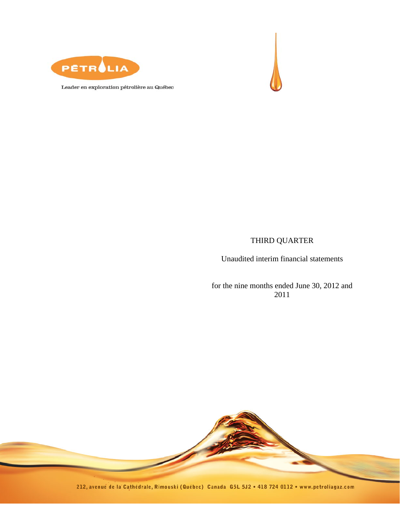



Leader en exploration pétrolière au Québec

# THIRD QUARTER

Unaudited interim financial statements

for the nine months ended June 30, 2012 and 2011



212, avenue de la Cathédrale, Rimouski (Québec) Canada G5L 5J2 . 418 724 0112 . www.petroliagaz.com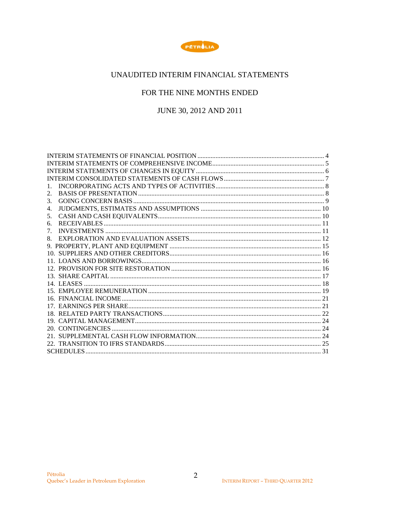

# UNAUDITED INTERIM FINANCIAL STATEMENTS

# FOR THE NINE MONTHS ENDED

JUNE 30, 2012 AND 2011

| 1. |  |
|----|--|
| 2. |  |
| 3. |  |
| 4. |  |
| 5. |  |
| 6. |  |
| 7. |  |
| 8. |  |
|    |  |
|    |  |
|    |  |
|    |  |
|    |  |
|    |  |
|    |  |
|    |  |
|    |  |
|    |  |
|    |  |
|    |  |
|    |  |
|    |  |
|    |  |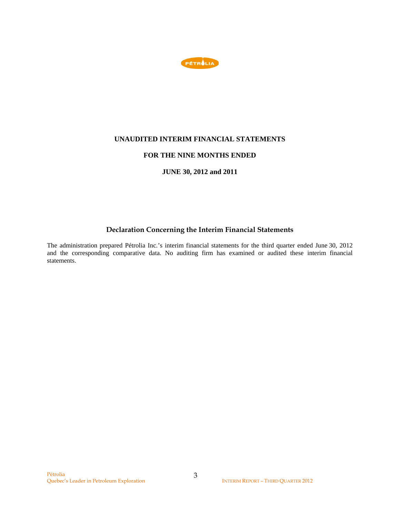

## **UNAUDITED INTERIM FINANCIAL STATEMENTS**

### **FOR THE NINE MONTHS ENDED**

### **JUNE 30, 2012 and 2011**

# **Declaration Concerning the Interim Financial Statements**

The administration prepared Pétrolia Inc.'s interim financial statements for the third quarter ended June 30, 2012 and the corresponding comparative data. No auditing firm has examined or audited these interim financial statements.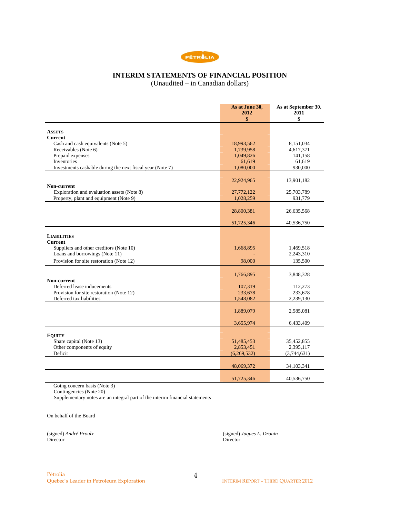

# **INTERIM STATEMENTS OF FINANCIAL POSITION**

(Unaudited – in Canadian dollars)

|                                                                                      | As at June 30,<br>2012<br>\$ | As at September 30,<br>2011<br>\$ |
|--------------------------------------------------------------------------------------|------------------------------|-----------------------------------|
|                                                                                      |                              |                                   |
| <b>ASSETS</b>                                                                        |                              |                                   |
| <b>Current</b>                                                                       |                              |                                   |
| Cash and cash equivalents (Note 5)<br>Receivables (Note 6)                           | 18,993,562<br>1,739,958      | 8,151,034<br>4,617,371            |
| Prepaid expenses                                                                     | 1,049,826                    | 141,158                           |
| <b>Inventories</b>                                                                   | 61,619                       | 61,619                            |
| Investments cashable during the next fiscal year (Note 7)                            | 1,080,000                    | 930,000                           |
|                                                                                      |                              |                                   |
|                                                                                      | 22,924,965                   | 13,901,182                        |
| Non-current                                                                          |                              |                                   |
| Exploration and evaluation assets (Note 8)<br>Property, plant and equipment (Note 9) | 27,772,122<br>1,028,259      | 25,703,789<br>931,779             |
|                                                                                      |                              |                                   |
|                                                                                      | 28,800,381                   | 26,635,568                        |
|                                                                                      |                              |                                   |
|                                                                                      | 51,725,346                   | 40,536,750                        |
|                                                                                      |                              |                                   |
| <b>LIABILITIES</b><br><b>Current</b>                                                 |                              |                                   |
| Suppliers and other creditors (Note 10)                                              | 1,668,895                    | 1,469,518                         |
| Loans and borrowings (Note 11)                                                       |                              | 2,243,310                         |
| Provision for site restoration (Note 12)                                             | 98,000                       | 135,500                           |
|                                                                                      |                              |                                   |
|                                                                                      | 1,766,895                    | 3,848,328                         |
| Non-current                                                                          |                              |                                   |
| Deferred lease inducements                                                           | 107,319                      | 112,273                           |
| Provision for site restoration (Note 12)<br>Deferred tax liabilities                 | 233,678<br>1,548,082         | 233,678<br>2,239,130              |
|                                                                                      |                              |                                   |
|                                                                                      | 1,889,079                    | 2,585,081                         |
|                                                                                      |                              |                                   |
|                                                                                      | 3,655,974                    | 6,433,409                         |
|                                                                                      |                              |                                   |
| <b>EQUITY</b><br>Share capital (Note 13)                                             | 51,485,453                   | 35,452,855                        |
| Other components of equity                                                           | 2,853,451                    | 2,395,117                         |
| Deficit                                                                              | (6,269,532)                  | (3,744,631)                       |
|                                                                                      |                              |                                   |
|                                                                                      | 48,069,372                   | 34,103,341                        |
|                                                                                      |                              |                                   |
|                                                                                      | 51,725,346                   | 40,536,750                        |

Going concern basis (Note 3)

Contingencies (Note 20)

Supplementary notes are an integral part of the interim financial statements

On behalf of the Board

Director Director

(signed) *André Proulx* (signed) *Jaques L. Drouin*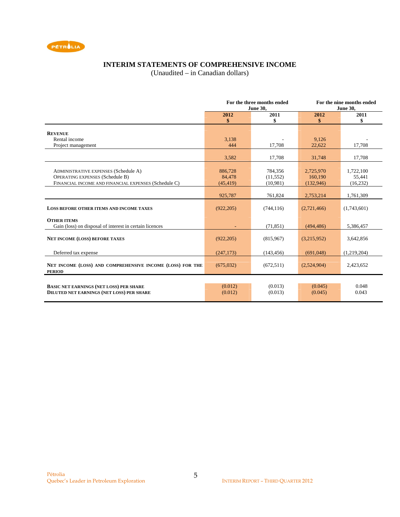

# **INTERIM STATEMENTS OF COMPREHENSIVE INCOME**

(Unaudited – in Canadian dollars)

|                                                                                                                                               | For the three months ended<br><b>June 30,</b> |                                  |                                   | For the nine months ended<br><b>June 30,</b> |
|-----------------------------------------------------------------------------------------------------------------------------------------------|-----------------------------------------------|----------------------------------|-----------------------------------|----------------------------------------------|
|                                                                                                                                               | 2012<br>\$                                    | 2011<br>\$                       | 2012<br>\$                        | 2011<br>\$                                   |
| <b>REVENUE</b>                                                                                                                                |                                               |                                  |                                   |                                              |
| Rental income<br>Project management                                                                                                           | 3,138<br>444                                  | 17,708                           | 9,126<br>22,622                   | 17,708                                       |
|                                                                                                                                               | 3,582                                         | 17,708                           | 31,748                            | 17,708                                       |
| <b>ADMINISTRATIVE EXPENSES (Schedule A)</b><br><b>OPERATING EXPENSES (Schedule B)</b><br>FINANCIAL INCOME AND FINANCIAL EXPENSES (Schedule C) | 886,728<br>84,478<br>(45, 419)                | 784,356<br>(11, 552)<br>(10,981) | 2,725,970<br>160.190<br>(132,946) | 1,722,100<br>55,441<br>(16, 232)             |
|                                                                                                                                               | 925,787                                       | 761,824                          | 2,753,214                         | 1,761,309                                    |
| <b>LOSS BEFORE OTHER ITEMS AND INCOME TAXES</b>                                                                                               | (922, 205)                                    | (744, 116)                       | (2,721,466)                       | (1,743,601)                                  |
| <b>OTHER ITEMS</b><br>Gain (loss) on disposal of interest in certain licences                                                                 |                                               | (71, 851)                        | (494, 486)                        | 5,386,457                                    |
| <b>NET INCOME (LOSS) BEFORE TAXES</b>                                                                                                         | (922, 205)                                    | (815,967)                        | (3,215,952)                       | 3,642,856                                    |
| Deferred tax expense                                                                                                                          | (247, 173)                                    | (143, 456)                       | (691,048)                         | (1,219,204)                                  |
| NET INCOME (LOSS) AND COMPREHENSIVE INCOME (LOSS) FOR THE<br><b>PERIOD</b>                                                                    | (675,032)                                     | (672, 511)                       | (2,524,904)                       | 2,423,652                                    |
| <b>BASIC NET EARNINGS (NET LOSS) PER SHARE</b><br><b>DILUTED NET EARNINGS (NET LOSS) PER SHARE</b>                                            | (0.012)<br>(0.012)                            | (0.013)<br>(0.013)               | (0.045)<br>(0.045)                | 0.048<br>0.043                               |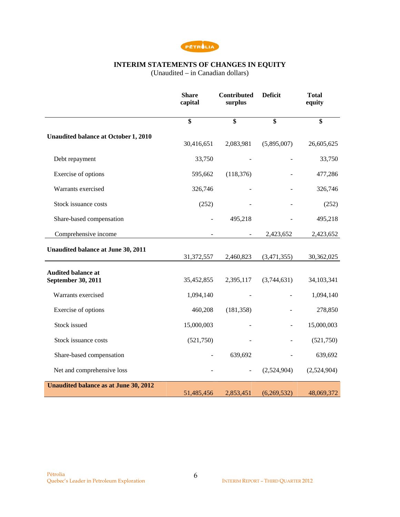

### **INTERIM STATEMENTS OF CHANGES IN EQUITY**

(Unaudited – in Canadian dollars)

|                                                 | <b>Share</b><br>capital | Contributed<br>surplus   | <b>Deficit</b> | <b>Total</b><br>equity |
|-------------------------------------------------|-------------------------|--------------------------|----------------|------------------------|
|                                                 | \$                      | \$                       | \$             | \$                     |
| <b>Unaudited balance at October 1, 2010</b>     | 30,416,651              | 2,083,981                | (5,895,007)    | 26,605,625             |
| Debt repayment                                  | 33,750                  |                          |                | 33,750                 |
| Exercise of options                             | 595,662                 | (118, 376)               |                | 477,286                |
| Warrants exercised                              | 326,746                 |                          |                | 326,746                |
| Stock issuance costs                            | (252)                   |                          |                | (252)                  |
| Share-based compensation                        |                         | 495,218                  |                | 495,218                |
| Comprehensive income                            |                         |                          | 2,423,652      | 2,423,652              |
| Unaudited balance at June 30, 2011              | 31,372,557              | 2,460,823                | (3,471,355)    | 30,362,025             |
| <b>Audited balance at</b><br>September 30, 2011 | 35,452,855              | 2,395,117                | (3,744,631)    | 34,103,341             |
| Warrants exercised                              | 1,094,140               |                          |                | 1,094,140              |
| Exercise of options                             | 460,208                 | (181, 358)               |                | 278,850                |
| Stock issued                                    | 15,000,003              |                          |                | 15,000,003             |
| Stock issuance costs                            | (521, 750)              |                          |                | (521,750)              |
| Share-based compensation                        |                         | 639,692                  |                | 639,692                |
| Net and comprehensive loss                      |                         | $\overline{\phantom{a}}$ | (2,524,904)    | (2,524,904)            |
| <b>Unaudited balance as at June 30, 2012</b>    | 51,485,456              | 2,853,451                | (6,269,532)    | 48,069,372             |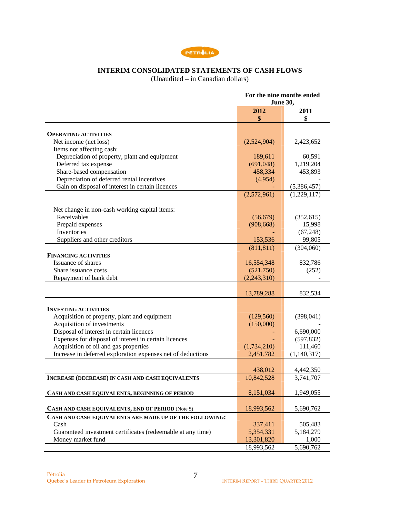

# **INTERIM CONSOLIDATED STATEMENTS OF CASH FLOWS**

(Unaudited – in Canadian dollars)

|                                                             | For the nine months ended<br><b>June 30,</b> |             |  |
|-------------------------------------------------------------|----------------------------------------------|-------------|--|
|                                                             | 2012                                         | 2011        |  |
|                                                             | \$                                           | \$          |  |
|                                                             |                                              |             |  |
| <b>OPERATING ACTIVITIES</b>                                 |                                              |             |  |
| Net income (net loss)                                       | (2,524,904)                                  | 2,423,652   |  |
| Items not affecting cash:                                   |                                              |             |  |
| Depreciation of property, plant and equipment               | 189,611                                      | 60,591      |  |
| Deferred tax expense                                        | (691,048)                                    | 1,219,204   |  |
| Share-based compensation                                    | 458,334                                      | 453,893     |  |
| Depreciation of deferred rental incentives                  | (4,954)                                      |             |  |
| Gain on disposal of interest in certain licences            |                                              | (5,386,457) |  |
|                                                             | (2,572,961)                                  | (1,229,117) |  |
| Net change in non-cash working capital items:               |                                              |             |  |
| Receivables                                                 | (56, 679)                                    | (352, 615)  |  |
| Prepaid expenses                                            | (908, 668)                                   | 15,998      |  |
| Inventories                                                 |                                              | (67, 248)   |  |
| Suppliers and other creditors                               | 153,536                                      | 99,805      |  |
|                                                             |                                              |             |  |
| <b>FINANCING ACTIVITIES</b>                                 | (811, 811)                                   | (304,060)   |  |
| Issuance of shares                                          | 16,554,348                                   | 832,786     |  |
| Share issuance costs                                        |                                              |             |  |
|                                                             | (521,750)                                    | (252)       |  |
| Repayment of bank debt                                      | (2,243,310)                                  |             |  |
|                                                             | 13,789,288                                   | 832,534     |  |
|                                                             |                                              |             |  |
| <b>INVESTING ACTIVITIES</b>                                 |                                              |             |  |
| Acquisition of property, plant and equipment                | (129, 560)                                   | (398, 041)  |  |
| Acquisition of investments                                  | (150,000)                                    |             |  |
| Disposal of interest in certain licences                    |                                              | 6,690,000   |  |
| Expenses for disposal of interest in certain licences       |                                              | (597, 832)  |  |
| Acquisition of oil and gas properties                       | (1,734,210)                                  | 111,460     |  |
| Increase in deferred exploration expenses net of deductions | 2,451,782                                    | (1,140,317) |  |
|                                                             | 438,012                                      | 4,442,350   |  |
| <b>INCREASE (DECREASE) IN CASH AND CASH EQUIVALENTS</b>     | 10,842,528                                   | 3,741,707   |  |
|                                                             |                                              |             |  |
| CASH AND CASH EQUIVALENTS, BEGINNING OF PERIOD              | 8,151,034                                    | 1,949,055   |  |
| CASH AND CASH EQUIVALENTS, END OF PERIOD (Note 5)           | 18,993,562                                   | 5,690,762   |  |
| CASH AND CASH EQUIVALENTS ARE MADE UP OF THE FOLLOWING:     |                                              |             |  |
| Cash                                                        | 337,411                                      | 505,483     |  |
| Guaranteed investment certificates (redeemable at any time) | 5,354,331                                    | 5,184,279   |  |
| Money market fund                                           | 13,301,820                                   | 1,000       |  |
|                                                             | 18,993,562                                   | 5,690,762   |  |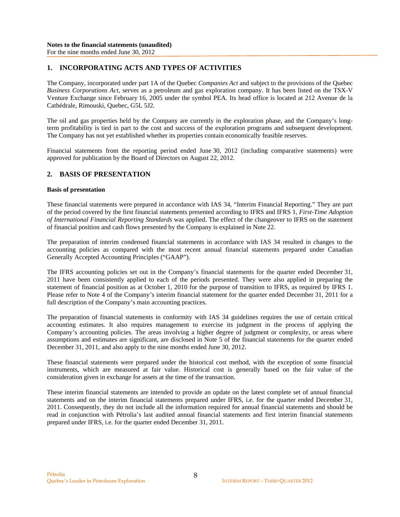### **1. INCORPORATING ACTS AND TYPES OF ACTIVITIES**

The Company, incorporated under part 1A of the Quebec *Companies Act* and subject to the provisions of the Quebec *Business Corporations Act*, serves as a petroleum and gas exploration company. It has been listed on the TSX-V Venture Exchange since February 16, 2005 under the symbol PEA. Its head office is located at 212 Avenue de la Cathédrale, Rimouski, Quebec, G5L 5J2.

The oil and gas properties held by the Company are currently in the exploration phase, and the Company's longterm profitability is tied in part to the cost and success of the exploration programs and subsequent development. The Company has not yet established whether its properties contain economically feasible reserves.

Financial statements from the reporting period ended June 30, 2012 (including comparative statements) were approved for publication by the Board of Directors on August 22, 2012.

### **2. BASIS OF PRESENTATION**

### **Basis of presentation**

These financial statements were prepared in accordance with IAS 34, "Interim Financial Reporting." They are part of the period covered by the first financial statements presented according to IFRS and IFRS 1, *First-Time Adoption of International Financial Reporting Standards* was applied. The effect of the changeover to IFRS on the statement of financial position and cash flows presented by the Company is explained in Note 22.

The preparation of interim condensed financial statements in accordance with IAS 34 resulted in changes to the accounting policies as compared with the most recent annual financial statements prepared under Canadian Generally Accepted Accounting Principles ("GAAP").

The IFRS accounting policies set out in the Company's financial statements for the quarter ended December 31, 2011 have been consistently applied to each of the periods presented. They were also applied in preparing the statement of financial position as at October 1, 2010 for the purpose of transition to IFRS, as required by IFRS 1. Please refer to Note 4 of the Company's interim financial statement for the quarter ended December 31, 2011 for a full description of the Company's main accounting practices.

The preparation of financial statements in conformity with IAS 34 guidelines requires the use of certain critical accounting estimates. It also requires management to exercise its judgment in the process of applying the Company's accounting policies. The areas involving a higher degree of judgment or complexity, or areas where assumptions and estimates are significant, are disclosed in Note 5 of the financial statements for the quarter ended December 31, 2011, and also apply to the nine months ended June 30, 2012.

These financial statements were prepared under the historical cost method, with the exception of some financial instruments, which are measured at fair value. Historical cost is generally based on the fair value of the consideration given in exchange for assets at the time of the transaction.

These interim financial statements are intended to provide an update on the latest complete set of annual financial statements and on the interim financial statements prepared under IFRS, i.e. for the quarter ended December 31, 2011. Consequently, they do not include all the information required for annual financial statements and should be read in conjunction with Pétrolia's last audited annual financial statements and first interim financial statements prepared under IFRS, i.e. for the quarter ended December 31, 2011.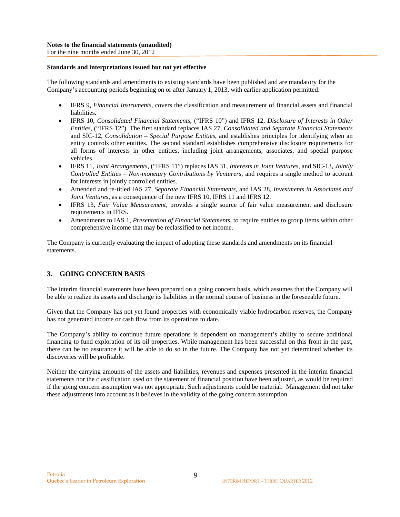### **Standards and interpretations issued but not yet effective**

The following standards and amendments to existing standards have been published and are mandatory for the Company's accounting periods beginning on or after January 1, 2013, with earlier application permitted:

- IFRS 9, *Financial Instruments*, covers the classification and measurement of financial assets and financial liabilities.
- IFRS 10, *Consolidated Financial Statements*, ("IFRS 10") and IFRS 12, *Disclosure of Interests in Other Entities,* ("IFRS 12"). The first standard replaces IAS 27, *Consolidated and Separate Financial Statements* and SIC-12, *Consolidation – Special Purpose Entities*, and establishes principles for identifying when an entity controls other entities. The second standard establishes comprehensive disclosure requirements for all forms of interests in other entities, including joint arrangements, associates, and special purpose vehicles.
- IFRS 11, *Joint Arrangements*, ("IFRS 11") replaces IAS 31, *Interests in Joint Ventures*, and SIC-13, *Jointly Controlled Entities – Non-monetary Contributions by Venturers*, and requires a single method to account for interests in jointly controlled entities.
- Amended and re-titled IAS 27, *Separate Financial Statements*, and IAS 28, *Investments in Associates and Joint Ventures*, as a consequence of the new IFRS 10, IFRS 11 and IFRS 12.
- IFRS 13, *Fair Value Measurement,* provides a single source of fair value measurement and disclosure requirements in IFRS.
- Amendments to IAS 1, *Presentation of Financial Statements*, to require entities to group items within other comprehensive income that may be reclassified to net income.

The Company is currently evaluating the impact of adopting these standards and amendments on its financial statements.

### **3. GOING CONCERN BASIS**

The interim financial statements have been prepared on a going concern basis, which assumes that the Company will be able to realize its assets and discharge its liabilities in the normal course of business in the foreseeable future.

Given that the Company has not yet found properties with economically viable hydrocarbon reserves, the Company has not generated income or cash flow from its operations to date.

The Company's ability to continue future operations is dependent on management's ability to secure additional financing to fund exploration of its oil properties. While management has been successful on this front in the past, there can be no assurance it will be able to do so in the future. The Company has not yet determined whether its discoveries will be profitable.

Neither the carrying amounts of the assets and liabilities, revenues and expenses presented in the interim financial statements nor the classification used on the statement of financial position have been adjusted, as would be required if the going concern assumption was not appropriate. Such adjustments could be material. Management did not take these adjustments into account as it believes in the validity of the going concern assumption.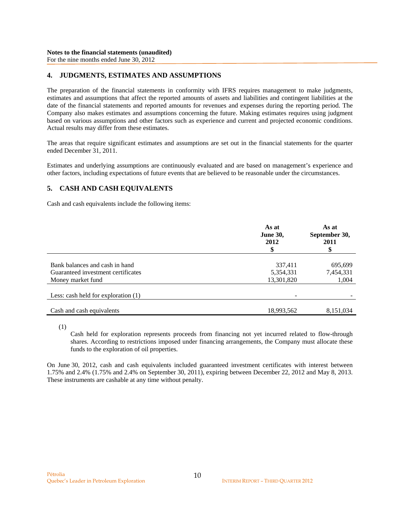# **4. JUDGMENTS, ESTIMATES AND ASSUMPTIONS**

The preparation of the financial statements in conformity with IFRS requires management to make judgments, estimates and assumptions that affect the reported amounts of assets and liabilities and contingent liabilities at the date of the financial statements and reported amounts for revenues and expenses during the reporting period. The Company also makes estimates and assumptions concerning the future. Making estimates requires using judgment based on various assumptions and other factors such as experience and current and projected economic conditions. Actual results may differ from these estimates.

The areas that require significant estimates and assumptions are set out in the financial statements for the quarter ended December 31, 2011.

Estimates and underlying assumptions are continuously evaluated and are based on management's experience and other factors, including expectations of future events that are believed to be reasonable under the circumstances.

# **5. CASH AND CASH EQUIVALENTS**

Cash and cash equivalents include the following items:

|                                       | As at<br><b>June 30,</b><br>2012<br>\$ | As at<br>September 30,<br>2011<br>\$ |
|---------------------------------------|----------------------------------------|--------------------------------------|
| Bank balances and cash in hand        | 337,411                                | 695,699                              |
| Guaranteed investment certificates    | 5,354,331                              | 7,454,331                            |
| Money market fund                     | 13,301,820                             | 1,004                                |
| Less: cash held for exploration $(1)$ |                                        |                                      |
| Cash and cash equivalents             | 18,993,562                             | 8,151,034                            |

(1)

Cash held for exploration represents proceeds from financing not yet incurred related to flow-through shares. According to restrictions imposed under financing arrangements, the Company must allocate these funds to the exploration of oil properties.

On June 30, 2012, cash and cash equivalents included guaranteed investment certificates with interest between 1.75% and 2.4% (1.75% and 2.4% on September 30, 2011), expiring between December 22, 2012 and May 8, 2013. These instruments are cashable at any time without penalty.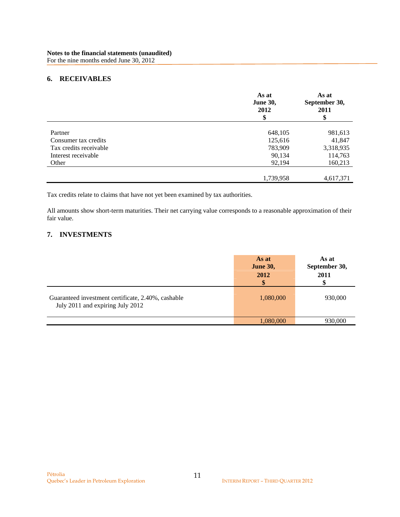# **6. RECEIVABLES**

|                        | As at<br><b>June 30,</b><br>2012<br>\$ | As at<br>September 30,<br>2011<br>\$ |
|------------------------|----------------------------------------|--------------------------------------|
| Partner                |                                        |                                      |
|                        | 648,105                                | 981,613                              |
| Consumer tax credits   | 125,616                                | 41,847                               |
| Tax credits receivable | 783,909                                | 3,318,935                            |
| Interest receivable    | 90,134                                 | 114,763                              |
| Other                  | 92,194                                 | 160,213                              |
|                        | 1,739,958                              | 4,617,371                            |

Tax credits relate to claims that have not yet been examined by tax authorities.

All amounts show short-term maturities. Their net carrying value corresponds to a reasonable approximation of their fair value.

# **7. INVESTMENTS**

|                                                                                        | As at<br><b>June 30,</b><br>2012<br>\$ | As at<br>September 30,<br>2011 |
|----------------------------------------------------------------------------------------|----------------------------------------|--------------------------------|
| Guaranteed investment certificate, 2.40%, cashable<br>July 2011 and expiring July 2012 | 1,080,000                              | 930,000                        |
|                                                                                        | 1,080,000                              | 930,000                        |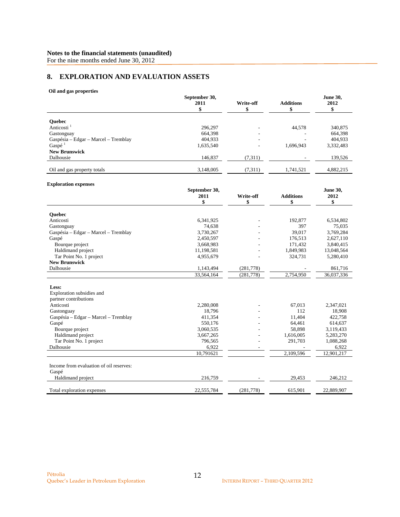For the nine months ended June 30, 2012

# **8. EXPLORATION AND EVALUATION ASSETS**

#### **Oil and gas properties**

|                                              | September 30,<br>2011<br>\$ | Write-off<br>\$ | <b>Additions</b><br>\$ | <b>June 30,</b><br>2012<br>\$ |
|----------------------------------------------|-----------------------------|-----------------|------------------------|-------------------------------|
|                                              |                             |                 |                        |                               |
| Quebec                                       |                             |                 |                        |                               |
| Anticosti <sup>1</sup>                       | 296,297                     |                 | 44,578                 | 340,875                       |
| Gastonguay                                   | 664,398                     |                 |                        | 664,398                       |
| Gaspésia - Edgar - Marcel - Tremblay         | 404,933                     |                 |                        | 404,933                       |
| Gaspé $1$                                    | 1,635,540                   |                 | 1,696,943              | 3,332,483                     |
| <b>New Brunswick</b>                         |                             |                 |                        |                               |
| Dalhousie                                    | 146,837                     | (7,311)         |                        | 139,526                       |
| Oil and gas property totals                  | 3,148,005                   | (7, 311)        | 1,741,521              | 4,882,215                     |
| <b>Exploration expenses</b>                  |                             |                 |                        |                               |
|                                              | September 30,               |                 |                        | <b>June 30,</b>               |
|                                              | 2011                        | Write-off       | <b>Additions</b>       | 2012                          |
|                                              | \$                          | \$              | \$                     | \$                            |
| <b>Ouebec</b>                                |                             |                 |                        |                               |
| Anticosti                                    | 6,341,925                   |                 | 192,877                | 6,534,802                     |
| Gastonguay                                   | 74,638                      |                 | 397                    | 75,035                        |
| Gaspésia - Edgar - Marcel - Tremblay         | 3,730,267                   |                 | 39,017                 | 3,769,284                     |
| Gaspé                                        | 2,450,597                   |                 | 176,513                | 2,627,110                     |
| Bourque project                              | 3,668,983                   |                 | 171,432                | 3,840,415                     |
| Haldimand project                            | 11,198,581                  |                 | 1,849,983              | 13,048,564                    |
| Tar Point No. 1 project                      | 4,955,679                   |                 | 324,731                | 5,280,410                     |
| <b>New Brunswick</b>                         |                             |                 |                        |                               |
| Dalhousie                                    | 1,143,494                   | (281, 778)      |                        | 861,716                       |
|                                              | 33,564,164                  | (281, 778)      | 2,754,950              | 36,037,336                    |
|                                              |                             |                 |                        |                               |
| Less:                                        |                             |                 |                        |                               |
| Exploration subsidies and                    |                             |                 |                        |                               |
| partner contributions                        |                             |                 |                        |                               |
| Anticosti                                    | 2,280,008                   |                 | 67,013                 | 2,347,021                     |
| Gastonguay                                   | 18,796                      |                 | 112<br>11.404          | 18,908                        |
| Gaspésia - Edgar - Marcel - Tremblay         | 411,354                     |                 |                        | 422,758                       |
| Gaspé                                        | 550,176                     |                 | 64,461                 | 614,637                       |
| Bourque project                              | 3,060,535                   |                 | 58,898                 | 3,119,433                     |
| Haldimand project<br>Tar Point No. 1 project | 3,667,265<br>796,565        |                 | 1,616,005<br>291,703   | 5,283,270<br>1,088,268        |
| Dalhousie                                    |                             |                 |                        |                               |
|                                              | 6,922                       |                 |                        | 6,922                         |
|                                              | 10.791621                   |                 | 2.109.596              | 12,901,217                    |
| Income from evaluation of oil reserves:      |                             |                 |                        |                               |
| Gaspé                                        |                             |                 |                        |                               |
| Haldimand project                            | 216,759                     |                 | 29,453                 | 246,212                       |
| Total exploration expenses                   | 22,555,784                  | (281, 778)      | 615,901                | 22,889,907                    |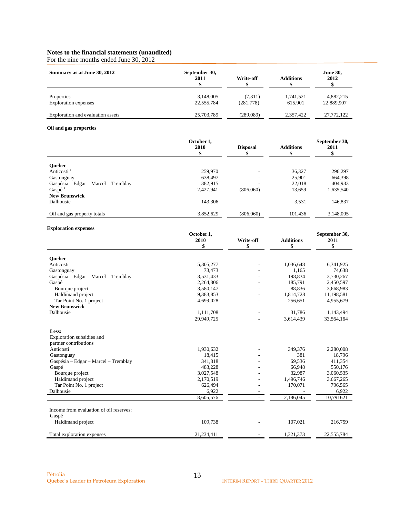For the nine months ended June 30, 2012

| Summary as at June 30, 2012               | September 30,<br>2011   | Write-off             | <b>Additions</b>     | <b>June 30,</b><br>2012 |
|-------------------------------------------|-------------------------|-----------------------|----------------------|-------------------------|
| Properties<br><b>Exploration</b> expenses | 3,148,005<br>22,555,784 | (7,311)<br>(281, 778) | 1,741,521<br>615,901 | 4,882,215<br>22,889,907 |
| Exploration and evaluation assets         | 25,703,789              | (289,089)             | 2.357.422            | 27,772,122              |

### **Oil and gas properties**

|                                      | October 1,<br>2010 | <b>Disposal</b> | <b>Additions</b> | September 30,<br>2011 |
|--------------------------------------|--------------------|-----------------|------------------|-----------------------|
| <b>Ouebec</b>                        |                    |                 |                  |                       |
| Anticosti <sup>1</sup>               | 259,970            |                 | 36,327           | 296,297               |
| Gastonguay                           | 638,497            |                 | 25,901           | 664,398               |
| Gaspésia – Edgar – Marcel – Tremblay | 382,915            |                 | 22,018           | 404,933               |
| Gaspé <sup>1</sup>                   | 2,427,941          | (806,060)       | 13,659           | 1,635,540             |
| <b>New Brunswick</b>                 |                    |                 |                  |                       |
| Dalhousie                            | 143,306            |                 | 3,531            | 146,837               |
| Oil and gas property totals          | 3,852,629          | (806,060)       | 101,436          | 3,148,005             |

### **Exploration expenses**

|                                         | October 1,<br>2010 |           |                  | September 30, |
|-----------------------------------------|--------------------|-----------|------------------|---------------|
|                                         |                    | Write-off | <b>Additions</b> | 2011          |
|                                         | \$                 | \$        | \$               | \$            |
| <b>Ouebec</b>                           |                    |           |                  |               |
| Anticosti                               | 5,305,277          |           | 1,036,648        | 6,341,925     |
| Gastonguay                              | 73,473             |           | 1,165            | 74,638        |
| Gaspésia – Edgar – Marcel – Tremblay    | 3,531,433          |           | 198,834          | 3,730,267     |
| Gaspé                                   | 2,264,806          |           | 185,791          | 2,450,597     |
| Bourque project                         | 3,580,147          |           | 88,836           | 3,668,983     |
| Haldimand project                       | 9,383,853          |           | 1,814,728        | 11,198,581    |
| Tar Point No. 1 project                 | 4,699,028          |           | 256,651          | 4,955,679     |
| <b>New Brunswick</b>                    |                    |           |                  |               |
| Dalhousie                               | 1,111,708          |           | 31,786           | 1,143,494     |
|                                         | 29,949,725         |           | 3,614,439        | 33,564,164    |
| Less:                                   |                    |           |                  |               |
| Exploration subsidies and               |                    |           |                  |               |
| partner contributions                   |                    |           |                  |               |
| Anticosti                               | 1,930,632          |           | 349,376          | 2,280,008     |
| Gastonguay                              | 18,415             |           | 381              | 18,796        |
| Gaspésia - Edgar - Marcel - Tremblay    | 341,818            |           | 69,536           | 411,354       |
| Gaspé                                   | 483,228            |           | 66,948           | 550,176       |
| Bourque project                         | 3,027,548          |           | 32,987           | 3,060,535     |
| Haldimand project                       | 2,170,519          |           | 1,496,746        | 3,667,265     |
| Tar Point No. 1 project                 | 626,494            |           | 170,071          | 796,565       |
| Dalhousie                               | 6,922              |           |                  | 6,922         |
|                                         | 8,605,576          |           | 2,186,045        | 10,791621     |
|                                         |                    |           |                  |               |
| Income from evaluation of oil reserves: |                    |           |                  |               |
| Gaspé                                   |                    |           |                  |               |
| Haldimand project                       | 109,738            |           | 107,021          | 216,759       |
| Total exploration expenses              | 21,234,411         |           | 1,321,373        | 22,555,784    |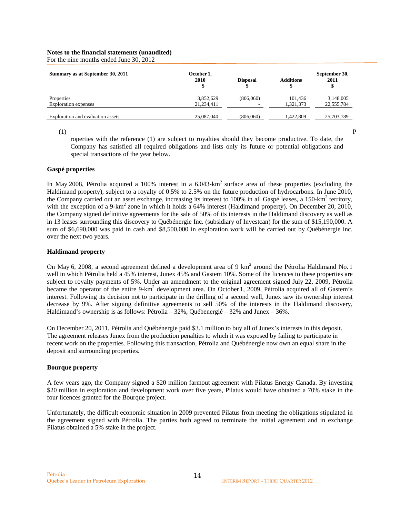For the nine months ended June 30, 2012

| Summary as at September 30, 2011  | October 1,<br>2010 | <b>Disposal</b>          | <b>Additions</b> | September 30,<br>2011 |
|-----------------------------------|--------------------|--------------------------|------------------|-----------------------|
| Properties                        | 3,852,629          | (806,060)                | 101.436          | 3,148,005             |
| Exploration expenses              | 21,234,411         | $\overline{\phantom{a}}$ | 1,321,373        | 22,555,784            |
| Exploration and evaluation assets | 25,087,040         | (806,060)                | 1.422.809        | 25,703,789            |

 $(1)$  P

roperties with the reference (1) are subject to royalties should they become productive. To date, the Company has satisfied all required obligations and lists only its future or potential obligations and special transactions of the year below.

### **Gaspé properties**

In May 2008, Pétrolia acquired a 100% interest in a  $6.043$ -km<sup>2</sup> surface area of these properties (excluding the Haldimand property), subject to a royalty of 0.5% to 2.5% on the future production of hydrocarbons. In June 2010, the Company carried out an asset exchange, increasing its interest to 100% in all Gaspé leases, a 150-km<sup>2</sup> territory, with the exception of a 9-km<sup>2</sup> zone in which it holds a 64% interest (Haldimand property). On December 20, 2010, the Company signed definitive agreements for the sale of 50% of its interests in the Haldimand discovery as well as in 13 leases surrounding this discovery to Québénergie Inc. (subsidiary of Investcan) for the sum of \$15,190,000. A sum of \$6,690,000 was paid in cash and \$8,500,000 in exploration work will be carried out by Québénergie inc. over the next two years.

### **Haldimand property**

On May 6, 2008, a second agreement defined a development area of 9  $km^2$  around the Pétrolia Haldimand No. 1 well in which Pétrolia held a 45% interest, Junex 45% and Gastem 10%. Some of the licences to these properties are subject to royalty payments of 5%. Under an amendment to the original agreement signed July 22, 2009, Pétrolia became the operator of the entire 9-km<sup>2</sup> development area. On October 1, 2009, Pétrolia acquired all of Gastem's interest. Following its decision not to participate in the drilling of a second well, Junex saw its ownership interest decrease by 9%. After signing definitive agreements to sell 50% of the interests in the Haldimand discovery, Haldimand's ownership is as follows: Pétrolia –  $32\%$ , Québenergié –  $32\%$  and Junex –  $36\%$ .

On December 20, 2011, Pétrolia and Québénergie paid \$3.1 million to buy all of Junex's interests in this deposit. The agreement releases Junex from the production penalties to which it was exposed by failing to participate in recent work on the properties. Following this transaction, Pétrolia and Québénergie now own an equal share in the deposit and surrounding properties.

#### **Bourque property**

A few years ago, the Company signed a \$20 million farmout agreement with Pilatus Energy Canada. By investing \$20 million in exploration and development work over five years, Pilatus would have obtained a 70% stake in the four licences granted for the Bourque project.

Unfortunately, the difficult economic situation in 2009 prevented Pilatus from meeting the obligations stipulated in the agreement signed with Pétrolia. The parties both agreed to terminate the initial agreement and in exchange Pilatus obtained a 5% stake in the project.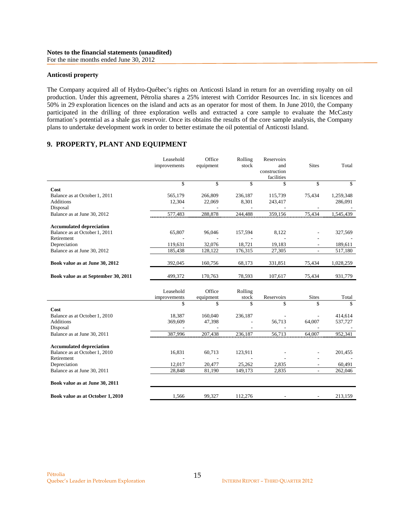#### **Anticosti property**

The Company acquired all of Hydro-Québec's rights on Anticosti Island in return for an overriding royalty on oil production. Under this agreement, Pétrolia shares a 25% interest with Corridor Resources Inc. in six licences and 50% in 29 exploration licences on the island and acts as an operator for most of them. In June 2010, the Company participated in the drilling of three exploration wells and extracted a core sample to evaluate the McCasty formation's potential as a shale gas reservoir. Once its obtains the results of the core sample analysis, the Company plans to undertake development work in order to better estimate the oil potential of Anticosti Island.

# **9. PROPERTY, PLANT AND EQUIPMENT**

|                                                                                | Leasehold<br>improvements | Office<br>equipment                           | Rolling<br>stock | Reservoirs<br>and<br>construction<br>facilities | <b>Sites</b>             | Total                |
|--------------------------------------------------------------------------------|---------------------------|-----------------------------------------------|------------------|-------------------------------------------------|--------------------------|----------------------|
|                                                                                | \$                        | \$                                            | \$               | \$                                              | \$                       | \$                   |
| Cost<br>Balance as at October 1, 2011<br><b>Additions</b><br>Disposal          | 565,179<br>12,304         | 266,809<br>22,069                             | 236,187<br>8,301 | 115,739<br>243,417                              | 75,434                   | 1,259,348<br>286,091 |
| Balance as at June 30, 2012                                                    | 577,483                   | 288,878                                       | 244,488          | 359,156                                         | 75,434                   | 1,545,439            |
| <b>Accumulated depreciation</b><br>Balance as at October 1, 2011<br>Retirement | 65,807                    | 96,046                                        | 157,594          | 8,122                                           |                          | 327,569              |
| Depreciation                                                                   | 119,631                   | 32,076                                        | 18,721           | 19,183                                          |                          | 189,611              |
| Balance as at June 30, 2012                                                    | 185,438                   | 128,122                                       | 176,315          | 27,305                                          |                          | 517,180              |
| Book value as at June 30, 2012                                                 | 392,045                   | 160,756                                       | 68,173           | 331,851                                         | 75,434                   | 1,028,259            |
| Book value as at September 30, 2011                                            | 499,372                   | 170,763                                       | 78,593           | 107,617                                         | 75,434                   | 931,779              |
|                                                                                | Leasehold<br>improvements | Office<br>equipment                           | Rolling<br>stock | Reservoirs                                      | <b>Sites</b>             | Total                |
|                                                                                | \$                        | \$                                            | \$               | \$                                              | \$                       | \$                   |
| Cost<br>Balance as at October 1, 2010<br><b>Additions</b><br>Disposal          | 18,387<br>369,609         | 160,040<br>47,398<br>$\overline{\phantom{a}}$ | 236,187          | 56,713                                          | 64,007                   | 414,614<br>537,727   |
| Balance as at June 30, 2011                                                    | 387,996                   | 207,438                                       | 236,187          | 56,713                                          | 64,007                   | 952,341              |
| <b>Accumulated depreciation</b><br>Balance as at October 1, 2010<br>Retirement | 16,831                    | 60,713                                        | 123,911          |                                                 |                          | 201,455              |
| Depreciation                                                                   | 12,017                    | 20,477                                        | 25,262           | 2,835                                           |                          | 60,491               |
| Balance as at June 30, 2011                                                    | 28,848                    | 81,190                                        | 149,173          | 2,835                                           | $\overline{\phantom{a}}$ | 262,046              |
| Book value as at June 30, 2011                                                 |                           |                                               |                  |                                                 |                          |                      |
| Book value as at October 1, 2010                                               | 1,566                     | 99,327                                        | 112,276          |                                                 |                          | 213,159              |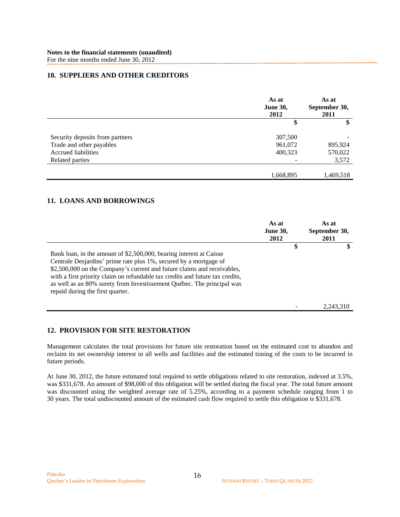### **10. SUPPLIERS AND OTHER CREDITORS**

|                                 | As at<br><b>June 30,</b><br>2012 | As at<br>September 30,<br>2011 |
|---------------------------------|----------------------------------|--------------------------------|
|                                 | \$                               | \$                             |
| Security deposits from partners | 307,500                          |                                |
| Trade and other payables        | 961,072                          | 895,924                        |
| Accrued liabilities             | 400,323                          | 570,022                        |
| Related parties                 |                                  | 3,572                          |
|                                 |                                  |                                |
|                                 | 1,668,895                        | 1,469,518                      |

## **11. LOANS AND BORROWINGS**

|                                                                                                                                                                                                                                                                                                                                                                                                                    | As at<br><b>June 30,</b><br>2012 | As at<br>September 30,<br>2011 |
|--------------------------------------------------------------------------------------------------------------------------------------------------------------------------------------------------------------------------------------------------------------------------------------------------------------------------------------------------------------------------------------------------------------------|----------------------------------|--------------------------------|
| Bank loan, in the amount of \$2,500,000, bearing interest at Caisse<br>Centrale Desjardins' prime rate plus 1%, secured by a mortgage of<br>\$2,500,000 on the Company's current and future claims and receivables,<br>with a first priority claim on refundable tax credits and future tax credits,<br>as well as an 80% surety from Investissement Québec. The principal was<br>repaid during the first quarter. | \$                               | \$                             |
|                                                                                                                                                                                                                                                                                                                                                                                                                    |                                  | 2,243,310                      |

# **12. PROVISION FOR SITE RESTORATION**

Management calculates the total provisions for future site restoration based on the estimated cost to abandon and reclaim its net ownership interest in all wells and facilities and the estimated timing of the costs to be incurred in future periods.

At June 30, 2012, the future estimated total required to settle obligations related to site restoration, indexed at 3.5%, was \$331,678. An amount of \$98,000 of this obligation will be settled during the fiscal year. The total future amount was discounted using the weighted average rate of 5.25%, according to a payment schedule ranging from 1 to 30 years. The total undiscounted amount of the estimated cash flow required to settle this obligation is \$331,678.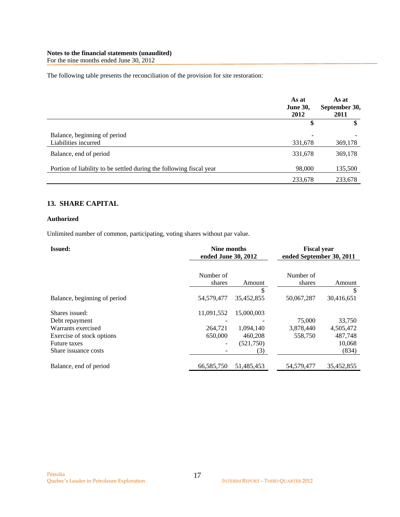For the nine months ended June 30, 2012

The following table presents the reconciliation of the provision for site restoration:

|                                                                     | As at<br><b>June 30,</b><br>2012    | As at<br>September 30,<br>2011 |
|---------------------------------------------------------------------|-------------------------------------|--------------------------------|
|                                                                     |                                     | \$                             |
| Balance, beginning of period<br>Liabilities incurred                | $\overline{\phantom{a}}$<br>331,678 | 369,178                        |
| Balance, end of period                                              | 331,678                             | 369,178                        |
| Portion of liability to be settled during the following fiscal year | 98,000                              | 135,500                        |
|                                                                     | 233,678                             | 233,678                        |

# **13. SHARE CAPITAL**

### **Authorized**

Unlimited number of common, participating, voting shares without par value.

| <b>Issued:</b>               | Nine months<br>ended June 30, 2012 |            | <b>Fiscal year</b><br>ended September 30, 2011 |            |
|------------------------------|------------------------------------|------------|------------------------------------------------|------------|
|                              | Number of<br>shares                | Amount     | Number of<br>shares                            | Amount     |
|                              |                                    | \$         |                                                | S          |
| Balance, beginning of period | 54,579,477                         | 35,452,855 | 50,067,287                                     | 30,416,651 |
| Shares issued:               | 11,091,552                         | 15,000,003 |                                                |            |
| Debt repayment               |                                    |            | 75,000                                         | 33,750     |
| Warrants exercised           | 264.721                            | 1,094,140  | 3,878,440                                      | 4,505,472  |
| Exercise of stock options    | 650,000                            | 460,208    | 558,750                                        | 487,748    |
| <b>Future taxes</b>          | -                                  | (521,750)  |                                                | 10,068     |
| Share issuance costs         |                                    | (3)        |                                                | (834)      |
| Balance, end of period       | 66,585,750                         | 51,485,453 | 54,579,477                                     | 35,452,855 |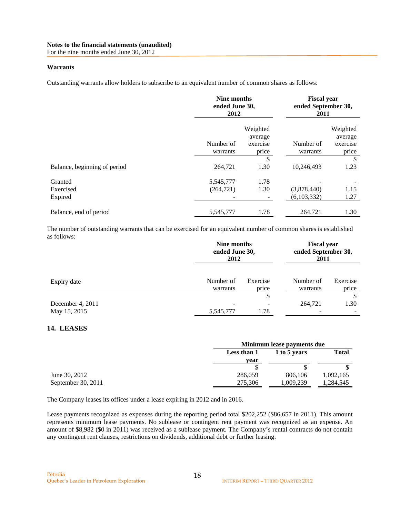For the nine months ended June 30, 2012

## **Warrants**

Outstanding warrants allow holders to subscribe to an equivalent number of common shares as follows:

|                              | Nine months<br>ended June 30,<br>2012 |                     | <b>Fiscal year</b><br>ended September 30,<br>2011 |                     |
|------------------------------|---------------------------------------|---------------------|---------------------------------------------------|---------------------|
|                              |                                       | Weighted<br>average |                                                   | Weighted<br>average |
|                              | Number of                             | exercise            | Number of                                         | exercise            |
|                              | warrants                              | price               | warrants                                          | price               |
|                              |                                       | \$                  |                                                   | \$                  |
| Balance, beginning of period | 264,721                               | 1.30                | 10,246,493                                        | 1.23                |
| Granted                      | 5,545,777                             | 1.78                |                                                   |                     |
| Exercised                    | (264, 721)                            | 1.30                | (3,878,440)                                       | 1.15                |
| Expired                      |                                       |                     | (6,103,332)                                       | 1.27                |
| Balance, end of period       | 5,545,777                             | 1.78                | 264,721                                           | 1.30                |

The number of outstanding warrants that can be exercised for an equivalent number of common shares is established as follows:

|                                  |                       | Nine months<br>ended June 30,<br>2012 |                       | <b>Fiscal year</b><br>ended September 30,<br>2011 |  |
|----------------------------------|-----------------------|---------------------------------------|-----------------------|---------------------------------------------------|--|
| Expiry date                      | Number of<br>warrants | Exercise<br>price                     | Number of<br>warrants | Exercise<br>price                                 |  |
| December 4, 2011<br>May 15, 2015 | 5,545,777             | \$<br>1.78                            | 264,721               | \$<br>1.30                                        |  |

# **14. LEASES**

|                    |             | Minimum lease payments due |           |  |  |
|--------------------|-------------|----------------------------|-----------|--|--|
|                    | Less than 1 | 1 to 5 years               |           |  |  |
|                    | vear        |                            |           |  |  |
|                    |             |                            |           |  |  |
| June 30, 2012      | 286,059     | 806,106                    | 1,092,165 |  |  |
| September 30, 2011 | 275,306     | 1,009,239                  | 1,284,545 |  |  |

The Company leases its offices under a lease expiring in 2012 and in 2016.

Lease payments recognized as expenses during the reporting period total \$202,252 (\$86,657 in 2011). This amount represents minimum lease payments. No sublease or contingent rent payment was recognized as an expense. An amount of \$8,982 (\$0 in 2011) was received as a sublease payment. The Company's rental contracts do not contain any contingent rent clauses, restrictions on dividends, additional debt or further leasing.

18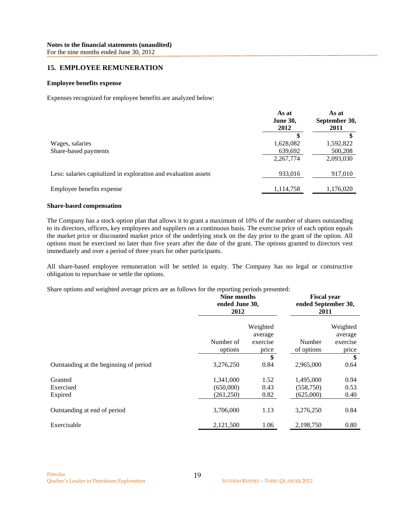For the nine months ended June 30, 2012

### **15. EMPLOYEE REMUNERATION**

### **Employee benefits expense**

Expenses recognized for employee benefits are analyzed below:

|                                                                 | As at<br><b>June 30,</b><br>2012 | As at<br>September 30,<br>2011 |
|-----------------------------------------------------------------|----------------------------------|--------------------------------|
|                                                                 | \$.                              |                                |
| Wages, salaries                                                 | 1,628,082                        | 1,592,822                      |
| Share-based payments                                            | 639,692                          | 500,208                        |
|                                                                 | 2,267,774                        | 2,093,030                      |
| Less: salaries capitalized in exploration and evaluation assets | 933,016                          | 917,010                        |
| Employee benefits expense                                       | 1,114,758                        | 1,176,020                      |

#### **Share-based compensation**

The Company has a stock option plan that allows it to grant a maximum of 10% of the number of shares outstanding to its directors, officers, key employees and suppliers on a continuous basis. The exercise price of each option equals the market price or discounted market price of the underlying stock on the day prior to the grant of the option. All options must be exercised no later than five years after the date of the grant. The options granted to directors vest immediately and over a period of three years for other participants.

All share-based employee remuneration will be settled in equity. The Company has no legal or constructive obligation to repurchase or settle the options.

Share options and weighted average prices are as follows for the reporting periods presented:

|                                        | Nine months<br>ended June 30,<br>2012 |                                          | <b>Fiscal year</b><br>ended September 30,<br>2011 |                                          |
|----------------------------------------|---------------------------------------|------------------------------------------|---------------------------------------------------|------------------------------------------|
|                                        | Number of<br>options                  | Weighted<br>average<br>exercise<br>price | Number<br>of options                              | Weighted<br>average<br>exercise<br>price |
| Outstanding at the beginning of period | 3,276,250                             | \$<br>0.84                               | 2,965,000                                         | \$<br>0.64                               |
| Granted<br>Exercised<br>Expired        | 1,341,000<br>(650,000)<br>(261, 250)  | 1.52<br>0.43<br>0.82                     | 1,495,000<br>(558, 750)<br>(625,000)              | 0.94<br>0.53<br>0.40                     |
| Outstanding at end of period           | 3,706,000                             | 1.13                                     | 3,276,250                                         | 0.84                                     |
| Exercisable                            | 2,121,500                             | 1.06                                     | 2,198,750                                         | 0.80                                     |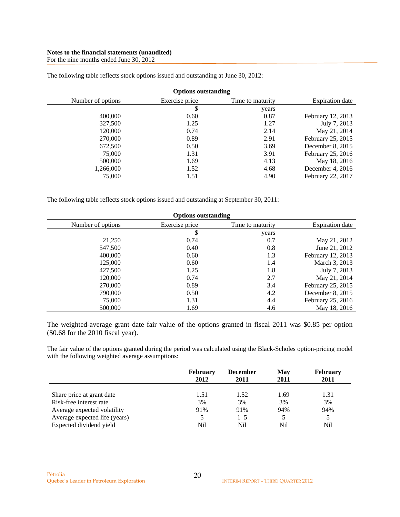For the nine months ended June 30, 2012

| <b>Options outstanding</b> |                |                  |                        |  |
|----------------------------|----------------|------------------|------------------------|--|
| Number of options          | Exercise price | Time to maturity | <b>Expiration</b> date |  |
|                            | \$             | years            |                        |  |
| 400,000                    | 0.60           | 0.87             | February 12, 2013      |  |
| 327,500                    | 1.25           | 1.27             | July 7, 2013           |  |
| 120,000                    | 0.74           | 2.14             | May 21, 2014           |  |
| 270,000                    | 0.89           | 2.91             | February 25, 2015      |  |
| 672,500                    | 0.50           | 3.69             | December 8, 2015       |  |
| 75,000                     | 1.31           | 3.91             | February 25, 2016      |  |
| 500,000                    | 1.69           | 4.13             | May 18, 2016           |  |
| 1,266,000                  | 1.52           | 4.68             | December 4, 2016       |  |
| 75,000                     | 1.51           | 4.90             | February 22, 2017      |  |

The following table reflects stock options issued and outstanding at June 30, 2012:

The following table reflects stock options issued and outstanding at September 30, 2011:

| <b>Options outstanding</b> |                |                  |                   |  |
|----------------------------|----------------|------------------|-------------------|--|
| Number of options          | Exercise price | Time to maturity | Expiration date   |  |
|                            | \$             | years            |                   |  |
| 21,250                     | 0.74           | 0.7              | May 21, 2012      |  |
| 547,500                    | 0.40           | 0.8              | June 21, 2012     |  |
| 400,000                    | 0.60           | 1.3              | February 12, 2013 |  |
| 125,000                    | 0.60           | 1.4              | March 3, 2013     |  |
| 427,500                    | 1.25           | 1.8              | July 7, 2013      |  |
| 120,000                    | 0.74           | 2.7              | May 21, 2014      |  |
| 270,000                    | 0.89           | 3.4              | February 25, 2015 |  |
| 790,000                    | 0.50           | 4.2              | December 8, 2015  |  |
| 75,000                     | 1.31           | 4.4              | February 25, 2016 |  |
| 500,000                    | 1.69           | 4.6              | May 18, 2016      |  |

The weighted-average grant date fair value of the options granted in fiscal 2011 was \$0.85 per option (\$0.68 for the 2010 fiscal year).

The fair value of the options granted during the period was calculated using the Black-Scholes option-pricing model with the following weighted average assumptions:

|                               | <b>February</b><br>2012 | <b>December</b><br>2011 | May<br>2011 | <b>February</b><br>2011 |
|-------------------------------|-------------------------|-------------------------|-------------|-------------------------|
| Share price at grant date     | 1.51                    | 1.52                    | 1.69        | 1.31                    |
| Risk-free interest rate       | 3%                      | 3%                      | 3%          | 3%                      |
| Average expected volatility   | 91%                     | 91%                     | 94%         | 94%                     |
| Average expected life (years) | 5                       | $1 - 5$                 | 5           |                         |
| Expected dividend yield       | Nil                     | Nil                     | Nil         | Nil                     |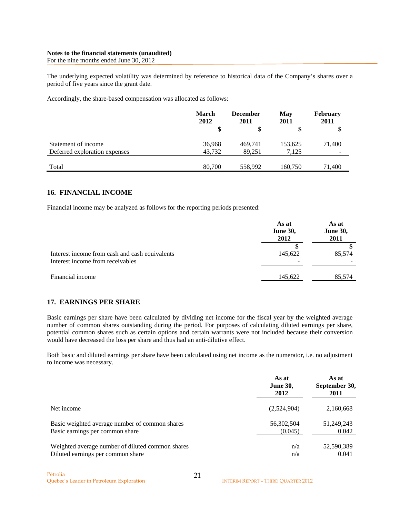#### **Notes to the financial statements (unaudited)**  For the nine months ended June 30, 2012

The underlying expected volatility was determined by reference to historical data of the Company's shares over a period of five years since the grant date.

Accordingly, the share-based compensation was allocated as follows:

|                               | <b>March</b><br>2012 | <b>December</b><br>2011 | May<br>2011 | <b>February</b><br>2011  |
|-------------------------------|----------------------|-------------------------|-------------|--------------------------|
|                               |                      | S                       |             |                          |
| Statement of income           | 36,968               | 469,741                 | 153,625     | 71,400                   |
| Deferred exploration expenses | 43,732               | 89,251                  | 7,125       | $\overline{\phantom{a}}$ |
| Total                         | 80,700               | 558,992                 | 160,750     | 71,400                   |

# **16. FINANCIAL INCOME**

Financial income may be analyzed as follows for the reporting periods presented:

|                                                                                    | As at<br><b>June 30,</b><br>2012 | As at<br><b>June 30,</b><br>2011<br>85,574 |  |
|------------------------------------------------------------------------------------|----------------------------------|--------------------------------------------|--|
| Interest income from cash and cash equivalents<br>Interest income from receivables | 145,622                          |                                            |  |
| Financial income                                                                   | 145,622                          | 85,574                                     |  |

### **17. EARNINGS PER SHARE**

Basic earnings per share have been calculated by dividing net income for the fiscal year by the weighted average number of common shares outstanding during the period. For purposes of calculating diluted earnings per share, potential common shares such as certain options and certain warrants were not included because their conversion would have decreased the loss per share and thus had an anti-dilutive effect.

Both basic and diluted earnings per share have been calculated using net income as the numerator, i.e. no adjustment to income was necessary.

|                                                  | As at<br><b>June 30,</b><br>2012 | As at<br>September 30,<br>2011 |
|--------------------------------------------------|----------------------------------|--------------------------------|
| Net income                                       | (2,524,904)                      | 2,160,668                      |
| Basic weighted average number of common shares   | 56,302,504                       | 51,249,243                     |
| Basic earnings per common share                  | (0.045)                          | 0.042                          |
| Weighted average number of diluted common shares | n/a                              | 52,590,389                     |
| Diluted earnings per common share                | n/a                              | 0.041                          |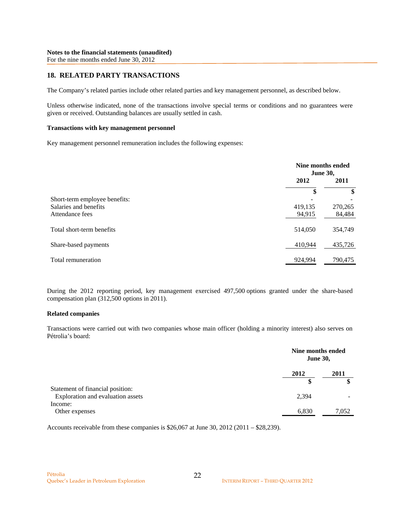# **18. RELATED PARTY TRANSACTIONS**

The Company's related parties include other related parties and key management personnel, as described below.

Unless otherwise indicated, none of the transactions involve special terms or conditions and no guarantees were given or received. Outstanding balances are usually settled in cash.

#### **Transactions with key management personnel**

Key management personnel remuneration includes the following expenses:

|                               |         | Nine months ended<br><b>June 30,</b> |  |
|-------------------------------|---------|--------------------------------------|--|
|                               | 2012    | 2011                                 |  |
|                               | \$      | \$                                   |  |
| Short-term employee benefits: |         |                                      |  |
| Salaries and benefits         | 419,135 | 270,265                              |  |
| Attendance fees               | 94,915  | 84,484                               |  |
| Total short-term benefits     | 514,050 | 354,749                              |  |
| Share-based payments          | 410,944 | 435,726                              |  |
| Total remuneration            | 924,994 | 790,475                              |  |

During the 2012 reporting period, key management exercised 497,500 options granted under the share-based compensation plan (312,500 options in 2011).

### **Related companies**

Transactions were carried out with two companies whose main officer (holding a minority interest) also serves on Pétrolia's board:

|                                   | Nine months ended<br><b>June 30,</b> |       |
|-----------------------------------|--------------------------------------|-------|
|                                   | 2012                                 | 2011  |
|                                   | \$                                   | \$    |
| Statement of financial position:  |                                      |       |
| Exploration and evaluation assets | 2,394                                |       |
| Income:                           |                                      |       |
| Other expenses                    | 6,830                                | 7,052 |

Accounts receivable from these companies is \$26,067 at June 30, 2012 (2011 – \$28,239).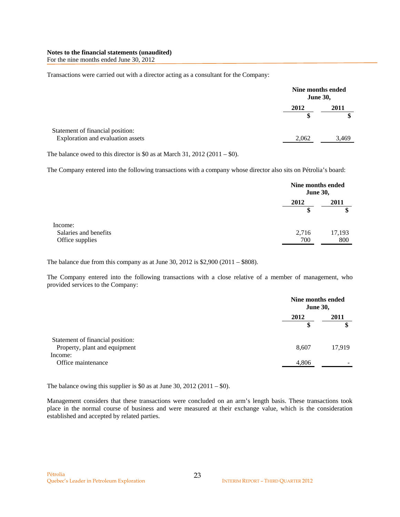For the nine months ended June 30, 2012

Transactions were carried out with a director acting as a consultant for the Company:

| 2012  | 2011                                 |
|-------|--------------------------------------|
|       |                                      |
| 2,062 | 3,469                                |
|       | Nine months ended<br><b>June 30,</b> |

The balance owed to this director is \$0 as at March 31, 2012 (2011 – \$0).

The Company entered into the following transactions with a company whose director also sits on Pétrolia's board:

|                                          |              | Nine months ended<br><b>June 30,</b> |  |
|------------------------------------------|--------------|--------------------------------------|--|
|                                          | 2012         | 2011<br>Φ                            |  |
| Income:                                  |              |                                      |  |
| Salaries and benefits<br>Office supplies | 2,716<br>700 | 17,193<br>800                        |  |

The balance due from this company as at June 30, 2012 is \$2,900 (2011 – \$808).

The Company entered into the following transactions with a close relative of a member of management, who provided services to the Company:

|                                                                   |            | Nine months ended<br><b>June 30,</b> |  |
|-------------------------------------------------------------------|------------|--------------------------------------|--|
|                                                                   | 2012<br>\$ | 2011                                 |  |
| Statement of financial position:<br>Property, plant and equipment | 8,607      | 17,919                               |  |
| Income:<br>Office maintenance                                     | 4,806      |                                      |  |

The balance owing this supplier is \$0 as at June 30, 2012 (2011 – \$0).

Management considers that these transactions were concluded on an arm's length basis. These transactions took place in the normal course of business and were measured at their exchange value, which is the consideration established and accepted by related parties.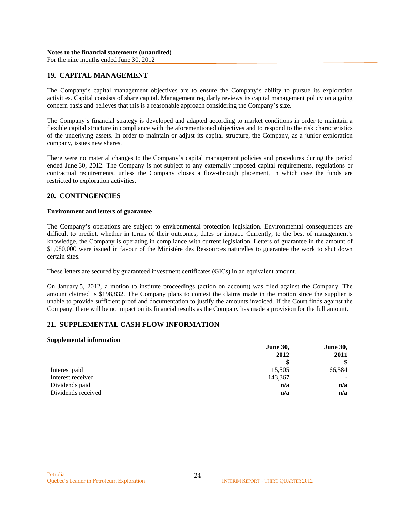## **19. CAPITAL MANAGEMENT**

The Company's capital management objectives are to ensure the Company's ability to pursue its exploration activities. Capital consists of share capital. Management regularly reviews its capital management policy on a going concern basis and believes that this is a reasonable approach considering the Company's size.

The Company's financial strategy is developed and adapted according to market conditions in order to maintain a flexible capital structure in compliance with the aforementioned objectives and to respond to the risk characteristics of the underlying assets. In order to maintain or adjust its capital structure, the Company, as a junior exploration company, issues new shares.

There were no material changes to the Company's capital management policies and procedures during the period ended June 30, 2012. The Company is not subject to any externally imposed capital requirements, regulations or contractual requirements, unless the Company closes a flow-through placement, in which case the funds are restricted to exploration activities.

### **20. CONTINGENCIES**

### **Environment and letters of guarantee**

The Company's operations are subject to environmental protection legislation. Environmental consequences are difficult to predict, whether in terms of their outcomes, dates or impact. Currently, to the best of management's knowledge, the Company is operating in compliance with current legislation. Letters of guarantee in the amount of \$1,080,000 were issued in favour of the Ministère des Ressources naturelles to guarantee the work to shut down certain sites.

These letters are secured by guaranteed investment certificates (GICs) in an equivalent amount.

On January 5, 2012, a motion to institute proceedings (action on account) was filed against the Company. The amount claimed is \$198,832. The Company plans to contest the claims made in the motion since the supplier is unable to provide sufficient proof and documentation to justify the amounts invoiced. If the Court finds against the Company, there will be no impact on its financial results as the Company has made a provision for the full amount.

### **21. SUPPLEMENTAL CASH FLOW INFORMATION**

#### **Supplemental information**

|                    | <b>June 30,</b> | <b>June 30,</b> |  |
|--------------------|-----------------|-----------------|--|
|                    | 2012            | 2011            |  |
|                    |                 |                 |  |
| Interest paid      | 15,505          | 66,584          |  |
| Interest received  | 143,367         |                 |  |
| Dividends paid     | n/a             | n/a             |  |
| Dividends received | n/a             | n/a             |  |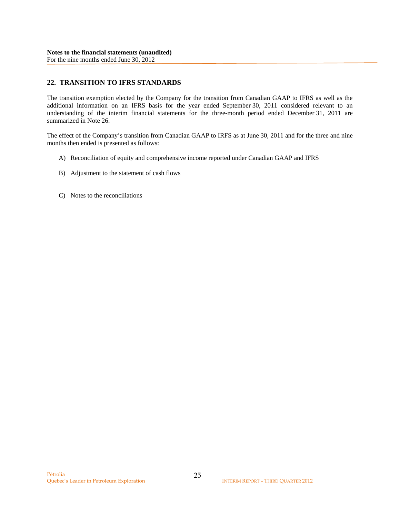# **22. TRANSITION TO IFRS STANDARDS**

The transition exemption elected by the Company for the transition from Canadian GAAP to IFRS as well as the additional information on an IFRS basis for the year ended September 30, 2011 considered relevant to an understanding of the interim financial statements for the three-month period ended December 31, 2011 are summarized in Note 26.

The effect of the Company's transition from Canadian GAAP to IRFS as at June 30, 2011 and for the three and nine months then ended is presented as follows:

- A) Reconciliation of equity and comprehensive income reported under Canadian GAAP and IFRS
- B) Adjustment to the statement of cash flows
- C) Notes to the reconciliations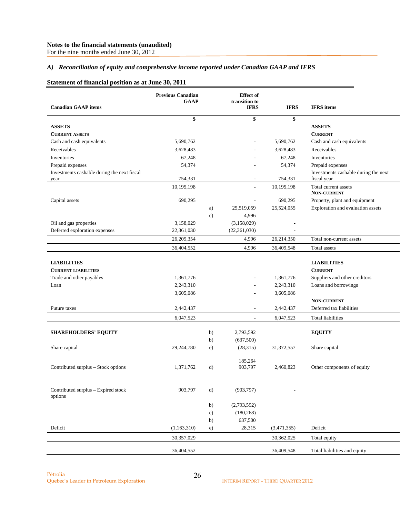For the nine months ended June 30, 2012

### *A) Reconciliation of equity and comprehensive income reported under Canadian GAAP and IFRS*

### **Statement of financial position as at June 30, 2011**

| <b>Canadian GAAP</b> items                          | <b>Previous Canadian</b><br><b>GAAP</b> |               | <b>Effect</b> of<br>transition to<br><b>IFRS</b> | <b>IFRS</b>              | <b>IFRS</b> items                                   |
|-----------------------------------------------------|-----------------------------------------|---------------|--------------------------------------------------|--------------------------|-----------------------------------------------------|
|                                                     | \$                                      |               | \$                                               | \$                       |                                                     |
| <b>ASSETS</b>                                       |                                         |               |                                                  |                          | <b>ASSETS</b>                                       |
| <b>CURRENT ASSETS</b>                               |                                         |               |                                                  |                          | <b>CURRENT</b>                                      |
| Cash and cash equivalents                           | 5,690,762                               |               |                                                  | 5,690,762                | Cash and cash equivalents                           |
| Receivables                                         | 3,628,483                               |               |                                                  | 3,628,483                | Receivables                                         |
| Inventories                                         | 67,248                                  |               |                                                  | 67,248                   | Inventories                                         |
| Prepaid expenses                                    | 54,374                                  |               |                                                  | 54,374                   | Prepaid expenses                                    |
| Investments cashable during the next fiscal<br>year | 754,331                                 |               |                                                  | 754,331                  | Investments cashable during the next<br>fiscal year |
|                                                     | 10,195,198                              |               |                                                  | 10,195,198               | Total current assets<br><b>NON-CURRENT</b>          |
| Capital assets                                      | 690,295                                 |               |                                                  | 690,295                  | Property, plant and equipment                       |
|                                                     |                                         | a)            | 25,519,059                                       | 25,524,055               | Exploration and evaluation assets                   |
|                                                     |                                         | $\mathbf{c})$ | 4,996                                            |                          |                                                     |
| Oil and gas properties                              | 3,158,029                               |               | (3,158,029)                                      | $\overline{\phantom{a}}$ |                                                     |
| Deferred exploration expenses                       | 22,361,030                              |               | (22,361,030)                                     |                          |                                                     |
|                                                     | 26,209,354                              |               | 4,996                                            | 26,214,350               | Total non-current assets                            |
|                                                     | 36,404,552                              |               | 4,996                                            | 36,409,548               | Total assets                                        |
|                                                     |                                         |               |                                                  |                          |                                                     |
| <b>LIABILITIES</b>                                  |                                         |               |                                                  |                          | <b>LIABILITIES</b>                                  |
| <b>CURRENT LIABILITIES</b>                          |                                         |               |                                                  |                          | <b>CURRENT</b>                                      |
| Trade and other payables                            | 1,361,776                               |               | $\overline{\phantom{0}}$                         | 1,361,776                | Suppliers and other creditors                       |
| Loan                                                | 2,243,310<br>3,605,086                  |               | $\overline{\phantom{a}}$<br>÷.                   | 2,243,310<br>3,605,086   | Loans and borrowings                                |
|                                                     |                                         |               |                                                  |                          | NON-CURRENT                                         |
| Future taxes                                        | 2,442,437                               |               | $\overline{a}$                                   | 2,442,437                | Deferred tax liabilities                            |
|                                                     | 6,047,523                               |               | $\overline{a}$                                   | 6,047,523                | <b>Total liabilities</b>                            |
|                                                     |                                         |               |                                                  |                          |                                                     |
| <b>SHAREHOLDERS' EQUITY</b>                         |                                         | b)            | 2,793,592                                        |                          | <b>EQUITY</b>                                       |
|                                                     |                                         | b)            | (637,500)                                        |                          |                                                     |
| Share capital                                       | 29,244,780                              | e)            | (28,315)                                         | 31,372,557               | Share capital                                       |
|                                                     |                                         |               | 185,264                                          |                          |                                                     |
| Contributed surplus - Stock options                 | 1,371,762                               | d)            | 903,797                                          | 2,460,823                | Other components of equity                          |
|                                                     |                                         |               |                                                  |                          |                                                     |
| Contributed surplus - Expired stock<br>options      | 903,797                                 | $\mathbf{d}$  | (903, 797)                                       |                          |                                                     |
|                                                     |                                         | b)            | (2,793,592)                                      |                          |                                                     |
|                                                     |                                         | c)            | (180, 268)                                       |                          |                                                     |
|                                                     |                                         | b)            | 637,500                                          |                          |                                                     |
| Deficit                                             | (1,163,310)                             | e)            | 28,315                                           | (3,471,355)              | Deficit                                             |
|                                                     | 30,357,029                              |               |                                                  | 30,362,025               | Total equity                                        |
|                                                     |                                         |               |                                                  |                          |                                                     |
|                                                     | 36,404,552                              |               |                                                  | 36,409,548               | Total liabilities and equity                        |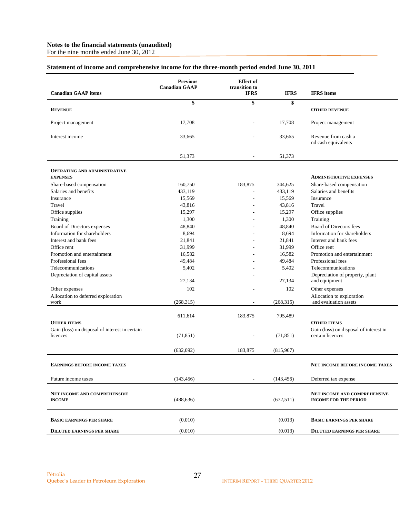For the nine months ended June 30, 2012

|  | Statement of income and comprehensive income for the three-month period ended June 30, 2011 |  |
|--|---------------------------------------------------------------------------------------------|--|
|  |                                                                                             |  |

| <b>Canadian GAAP</b> items                                 | <b>Previous</b><br><b>Canadian GAAP</b> | <b>Effect</b> of<br>transition to<br><b>IFRS</b> | <b>IFRS</b> | <b>IFRS</b> items                                                   |
|------------------------------------------------------------|-----------------------------------------|--------------------------------------------------|-------------|---------------------------------------------------------------------|
|                                                            | \$                                      | \$                                               | \$          |                                                                     |
| <b>REVENUE</b>                                             |                                         |                                                  |             | <b>OTHER REVENUE</b>                                                |
| Project management                                         | 17,708                                  |                                                  | 17,708      | Project management                                                  |
| Interest income                                            | 33,665                                  |                                                  | 33,665      | Revenue from cash a<br>nd cash equivalents                          |
|                                                            | 51,373                                  |                                                  | 51,373      |                                                                     |
| <b>OPERATING AND ADMINISTRATIVE</b><br><b>EXPENSES</b>     |                                         |                                                  |             | <b>ADMINISTRATIVE EXPENSES</b>                                      |
| Share-based compensation                                   | 160,750                                 | 183,875                                          | 344,625     | Share-based compensation                                            |
| Salaries and benefits                                      | 433,119                                 | ÷.                                               | 433,119     | Salaries and benefits                                               |
| Insurance                                                  | 15,569                                  |                                                  | 15,569      | Insurance                                                           |
| Travel                                                     | 43,816                                  |                                                  | 43,816      | Travel                                                              |
| Office supplies                                            | 15,297                                  |                                                  | 15,297      | Office supplies                                                     |
| Training                                                   | 1,300                                   |                                                  | 1,300       | Training                                                            |
| Board of Directors expenses                                | 48,840                                  |                                                  | 48,840      | Board of Directors fees                                             |
| Information for shareholders                               | 8,694                                   |                                                  | 8,694       | Information for shareholders                                        |
| Interest and bank fees                                     | 21,841                                  |                                                  | 21,841      | Interest and bank fees                                              |
| Office rent                                                | 31,999                                  |                                                  | 31,999      | Office rent                                                         |
| Promotion and entertainment                                | 16,582                                  |                                                  | 16,582      | Promotion and entertainment                                         |
| Professional fees                                          | 49,484                                  |                                                  | 49,484      | Professional fees                                                   |
| Telecommunications                                         | 5,402                                   |                                                  | 5,402       | Telecommunications                                                  |
| Depreciation of capital assets                             |                                         |                                                  |             | Depreciation of property, plant                                     |
|                                                            | 27,134                                  |                                                  | 27,134      | and equipment                                                       |
| Other expenses                                             | 102                                     |                                                  | 102         | Other expenses                                                      |
| Allocation to deferred exploration                         |                                         |                                                  |             | Allocation to exploration                                           |
| work                                                       | (268, 315)                              | $\overline{a}$                                   | (268, 315)  | and evaluation assets                                               |
| <b>OTHER ITEMS</b>                                         | 611,614                                 | 183,875                                          | 795,489     | <b>OTHER ITEMS</b>                                                  |
| Gain (loss) on disposal of interest in certain<br>licences | (71, 851)                               |                                                  | (71, 851)   | Gain (loss) on disposal of interest in<br>certain licences          |
|                                                            | (632,092)                               | 183,875                                          | (815,967)   |                                                                     |
| <b>EARNINGS BEFORE INCOME TAXES</b>                        |                                         |                                                  |             | NET INCOME BEFORE INCOME TAXES                                      |
| Future income taxes                                        | (143, 456)                              |                                                  | (143, 456)  | Deferred tax expense                                                |
| <b>NET INCOME AND COMPREHENSIVE</b><br><b>INCOME</b>       | (488, 636)                              |                                                  | (672, 511)  | <b>NET INCOME AND COMPREHENSIVE</b><br><b>INCOME FOR THE PERIOD</b> |
| <b>BASIC EARNINGS PER SHARE</b>                            | (0.010)                                 |                                                  | (0.013)     | <b>BASIC EARNINGS PER SHARE</b>                                     |
| <b>DILUTED EARNINGS PER SHARE</b>                          | (0.010)                                 |                                                  | (0.013)     | <b>DILUTED EARNINGS PER SHARE</b>                                   |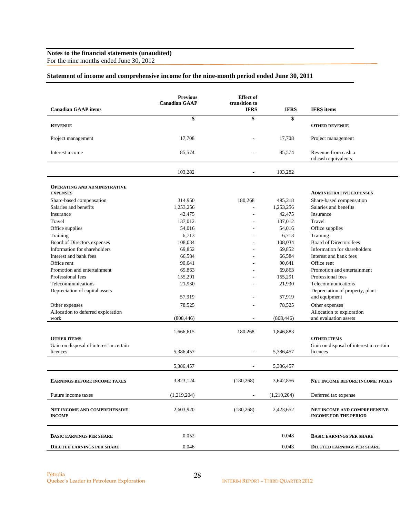For the nine months ended June 30, 2012

# **Statement of income and comprehensive income for the nine-month period ended June 30, 2011**

| <b>Canadian GAAP</b> items<br><b>IFRS</b><br><b>IFRS</b><br><b>IFRS</b> items<br>\$<br>\$<br>\$<br><b>REVENUE</b><br><b>OTHER REVENUE</b><br>17,708<br>17,708<br>Project management<br>Project management<br>Revenue from cash a<br>Interest income<br>85,574<br>85,574<br>nd cash equivalents<br>103,282<br>103,282<br><b>OPERATING AND ADMINISTRATIVE</b><br><b>EXPENSES</b><br><b>ADMINISTRATIVE EXPENSES</b><br>Share-based compensation<br>314,950<br>180,268<br>495,218<br>Share-based compensation<br>Salaries and benefits<br>1,253,256<br>1,253,256<br>Salaries and benefits<br>L,<br>42,475<br>42,475<br>Insurance<br>Insurance<br>÷,<br>137,012<br>137,012<br>Travel<br>Travel<br>Office supplies<br>54,016<br>54,016<br>Office supplies<br>6,713<br>Training<br>6,713<br>Training<br>108,034<br>108,034<br>Board of Directors fees<br>Board of Directors expenses<br>Information for shareholders<br>69,852<br>69,852<br>Information for shareholders<br>66,584<br>66,584<br>Interest and bank fees<br>Interest and bank fees<br>90,641<br>90,641<br>Office rent<br>Office rent<br>69,863<br>69,863<br>Promotion and entertainment<br>Promotion and entertainment<br>155,291<br>155,291<br>Professional fees<br>Professional fees<br>21,930<br>21,930<br>Telecommunications<br>Telecommunications<br>Depreciation of property, plant<br>Depreciation of capital assets<br>57,919<br>57,919<br>and equipment<br>Other expenses<br>78,525<br>78,525<br>Other expenses<br>Allocation to deferred exploration<br>Allocation to exploration<br>(808, 446)<br>(808, 446)<br>and evaluation assets<br>work<br>٠<br>1,666,615<br>180,268<br>1,846,883<br><b>OTHER ITEMS</b><br><b>OTHER ITEMS</b><br>Gain on disposal of interest in certain<br>Gain on disposal of interest in certain<br>5,386,457<br>5,386,457<br>licences<br>licences<br>÷,<br>5,386,457<br>5,386,457<br>3,823,124<br>(180, 268)<br>3,642,856<br><b>EARNINGS BEFORE INCOME TAXES</b><br>NET INCOME BEFORE INCOME TAXES<br>(1,219,204)<br>(1,219,204)<br>Future income taxes<br>Deferred tax expense |                                     | <b>Previous</b><br><b>Canadian GAAP</b> | <b>Effect</b> of<br>transition to |           |                              |
|-----------------------------------------------------------------------------------------------------------------------------------------------------------------------------------------------------------------------------------------------------------------------------------------------------------------------------------------------------------------------------------------------------------------------------------------------------------------------------------------------------------------------------------------------------------------------------------------------------------------------------------------------------------------------------------------------------------------------------------------------------------------------------------------------------------------------------------------------------------------------------------------------------------------------------------------------------------------------------------------------------------------------------------------------------------------------------------------------------------------------------------------------------------------------------------------------------------------------------------------------------------------------------------------------------------------------------------------------------------------------------------------------------------------------------------------------------------------------------------------------------------------------------------------------------------------------------------------------------------------------------------------------------------------------------------------------------------------------------------------------------------------------------------------------------------------------------------------------------------------------------------------------------------------------------------------------------------------------------------------------------------------------------------------------------------------------------|-------------------------------------|-----------------------------------------|-----------------------------------|-----------|------------------------------|
|                                                                                                                                                                                                                                                                                                                                                                                                                                                                                                                                                                                                                                                                                                                                                                                                                                                                                                                                                                                                                                                                                                                                                                                                                                                                                                                                                                                                                                                                                                                                                                                                                                                                                                                                                                                                                                                                                                                                                                                                                                                                             |                                     |                                         |                                   |           |                              |
|                                                                                                                                                                                                                                                                                                                                                                                                                                                                                                                                                                                                                                                                                                                                                                                                                                                                                                                                                                                                                                                                                                                                                                                                                                                                                                                                                                                                                                                                                                                                                                                                                                                                                                                                                                                                                                                                                                                                                                                                                                                                             |                                     |                                         |                                   |           |                              |
|                                                                                                                                                                                                                                                                                                                                                                                                                                                                                                                                                                                                                                                                                                                                                                                                                                                                                                                                                                                                                                                                                                                                                                                                                                                                                                                                                                                                                                                                                                                                                                                                                                                                                                                                                                                                                                                                                                                                                                                                                                                                             |                                     |                                         |                                   |           |                              |
|                                                                                                                                                                                                                                                                                                                                                                                                                                                                                                                                                                                                                                                                                                                                                                                                                                                                                                                                                                                                                                                                                                                                                                                                                                                                                                                                                                                                                                                                                                                                                                                                                                                                                                                                                                                                                                                                                                                                                                                                                                                                             |                                     |                                         |                                   |           |                              |
|                                                                                                                                                                                                                                                                                                                                                                                                                                                                                                                                                                                                                                                                                                                                                                                                                                                                                                                                                                                                                                                                                                                                                                                                                                                                                                                                                                                                                                                                                                                                                                                                                                                                                                                                                                                                                                                                                                                                                                                                                                                                             |                                     |                                         |                                   |           |                              |
|                                                                                                                                                                                                                                                                                                                                                                                                                                                                                                                                                                                                                                                                                                                                                                                                                                                                                                                                                                                                                                                                                                                                                                                                                                                                                                                                                                                                                                                                                                                                                                                                                                                                                                                                                                                                                                                                                                                                                                                                                                                                             |                                     |                                         |                                   |           |                              |
|                                                                                                                                                                                                                                                                                                                                                                                                                                                                                                                                                                                                                                                                                                                                                                                                                                                                                                                                                                                                                                                                                                                                                                                                                                                                                                                                                                                                                                                                                                                                                                                                                                                                                                                                                                                                                                                                                                                                                                                                                                                                             |                                     |                                         |                                   |           |                              |
|                                                                                                                                                                                                                                                                                                                                                                                                                                                                                                                                                                                                                                                                                                                                                                                                                                                                                                                                                                                                                                                                                                                                                                                                                                                                                                                                                                                                                                                                                                                                                                                                                                                                                                                                                                                                                                                                                                                                                                                                                                                                             |                                     |                                         |                                   |           |                              |
|                                                                                                                                                                                                                                                                                                                                                                                                                                                                                                                                                                                                                                                                                                                                                                                                                                                                                                                                                                                                                                                                                                                                                                                                                                                                                                                                                                                                                                                                                                                                                                                                                                                                                                                                                                                                                                                                                                                                                                                                                                                                             |                                     |                                         |                                   |           |                              |
|                                                                                                                                                                                                                                                                                                                                                                                                                                                                                                                                                                                                                                                                                                                                                                                                                                                                                                                                                                                                                                                                                                                                                                                                                                                                                                                                                                                                                                                                                                                                                                                                                                                                                                                                                                                                                                                                                                                                                                                                                                                                             |                                     |                                         |                                   |           |                              |
|                                                                                                                                                                                                                                                                                                                                                                                                                                                                                                                                                                                                                                                                                                                                                                                                                                                                                                                                                                                                                                                                                                                                                                                                                                                                                                                                                                                                                                                                                                                                                                                                                                                                                                                                                                                                                                                                                                                                                                                                                                                                             |                                     |                                         |                                   |           |                              |
|                                                                                                                                                                                                                                                                                                                                                                                                                                                                                                                                                                                                                                                                                                                                                                                                                                                                                                                                                                                                                                                                                                                                                                                                                                                                                                                                                                                                                                                                                                                                                                                                                                                                                                                                                                                                                                                                                                                                                                                                                                                                             |                                     |                                         |                                   |           |                              |
|                                                                                                                                                                                                                                                                                                                                                                                                                                                                                                                                                                                                                                                                                                                                                                                                                                                                                                                                                                                                                                                                                                                                                                                                                                                                                                                                                                                                                                                                                                                                                                                                                                                                                                                                                                                                                                                                                                                                                                                                                                                                             |                                     |                                         |                                   |           |                              |
|                                                                                                                                                                                                                                                                                                                                                                                                                                                                                                                                                                                                                                                                                                                                                                                                                                                                                                                                                                                                                                                                                                                                                                                                                                                                                                                                                                                                                                                                                                                                                                                                                                                                                                                                                                                                                                                                                                                                                                                                                                                                             |                                     |                                         |                                   |           |                              |
|                                                                                                                                                                                                                                                                                                                                                                                                                                                                                                                                                                                                                                                                                                                                                                                                                                                                                                                                                                                                                                                                                                                                                                                                                                                                                                                                                                                                                                                                                                                                                                                                                                                                                                                                                                                                                                                                                                                                                                                                                                                                             |                                     |                                         |                                   |           |                              |
|                                                                                                                                                                                                                                                                                                                                                                                                                                                                                                                                                                                                                                                                                                                                                                                                                                                                                                                                                                                                                                                                                                                                                                                                                                                                                                                                                                                                                                                                                                                                                                                                                                                                                                                                                                                                                                                                                                                                                                                                                                                                             |                                     |                                         |                                   |           |                              |
|                                                                                                                                                                                                                                                                                                                                                                                                                                                                                                                                                                                                                                                                                                                                                                                                                                                                                                                                                                                                                                                                                                                                                                                                                                                                                                                                                                                                                                                                                                                                                                                                                                                                                                                                                                                                                                                                                                                                                                                                                                                                             |                                     |                                         |                                   |           |                              |
|                                                                                                                                                                                                                                                                                                                                                                                                                                                                                                                                                                                                                                                                                                                                                                                                                                                                                                                                                                                                                                                                                                                                                                                                                                                                                                                                                                                                                                                                                                                                                                                                                                                                                                                                                                                                                                                                                                                                                                                                                                                                             |                                     |                                         |                                   |           |                              |
|                                                                                                                                                                                                                                                                                                                                                                                                                                                                                                                                                                                                                                                                                                                                                                                                                                                                                                                                                                                                                                                                                                                                                                                                                                                                                                                                                                                                                                                                                                                                                                                                                                                                                                                                                                                                                                                                                                                                                                                                                                                                             |                                     |                                         |                                   |           |                              |
|                                                                                                                                                                                                                                                                                                                                                                                                                                                                                                                                                                                                                                                                                                                                                                                                                                                                                                                                                                                                                                                                                                                                                                                                                                                                                                                                                                                                                                                                                                                                                                                                                                                                                                                                                                                                                                                                                                                                                                                                                                                                             |                                     |                                         |                                   |           |                              |
|                                                                                                                                                                                                                                                                                                                                                                                                                                                                                                                                                                                                                                                                                                                                                                                                                                                                                                                                                                                                                                                                                                                                                                                                                                                                                                                                                                                                                                                                                                                                                                                                                                                                                                                                                                                                                                                                                                                                                                                                                                                                             |                                     |                                         |                                   |           |                              |
|                                                                                                                                                                                                                                                                                                                                                                                                                                                                                                                                                                                                                                                                                                                                                                                                                                                                                                                                                                                                                                                                                                                                                                                                                                                                                                                                                                                                                                                                                                                                                                                                                                                                                                                                                                                                                                                                                                                                                                                                                                                                             |                                     |                                         |                                   |           |                              |
|                                                                                                                                                                                                                                                                                                                                                                                                                                                                                                                                                                                                                                                                                                                                                                                                                                                                                                                                                                                                                                                                                                                                                                                                                                                                                                                                                                                                                                                                                                                                                                                                                                                                                                                                                                                                                                                                                                                                                                                                                                                                             |                                     |                                         |                                   |           |                              |
|                                                                                                                                                                                                                                                                                                                                                                                                                                                                                                                                                                                                                                                                                                                                                                                                                                                                                                                                                                                                                                                                                                                                                                                                                                                                                                                                                                                                                                                                                                                                                                                                                                                                                                                                                                                                                                                                                                                                                                                                                                                                             |                                     |                                         |                                   |           |                              |
|                                                                                                                                                                                                                                                                                                                                                                                                                                                                                                                                                                                                                                                                                                                                                                                                                                                                                                                                                                                                                                                                                                                                                                                                                                                                                                                                                                                                                                                                                                                                                                                                                                                                                                                                                                                                                                                                                                                                                                                                                                                                             |                                     |                                         |                                   |           |                              |
|                                                                                                                                                                                                                                                                                                                                                                                                                                                                                                                                                                                                                                                                                                                                                                                                                                                                                                                                                                                                                                                                                                                                                                                                                                                                                                                                                                                                                                                                                                                                                                                                                                                                                                                                                                                                                                                                                                                                                                                                                                                                             |                                     |                                         |                                   |           |                              |
|                                                                                                                                                                                                                                                                                                                                                                                                                                                                                                                                                                                                                                                                                                                                                                                                                                                                                                                                                                                                                                                                                                                                                                                                                                                                                                                                                                                                                                                                                                                                                                                                                                                                                                                                                                                                                                                                                                                                                                                                                                                                             |                                     |                                         |                                   |           |                              |
|                                                                                                                                                                                                                                                                                                                                                                                                                                                                                                                                                                                                                                                                                                                                                                                                                                                                                                                                                                                                                                                                                                                                                                                                                                                                                                                                                                                                                                                                                                                                                                                                                                                                                                                                                                                                                                                                                                                                                                                                                                                                             |                                     |                                         |                                   |           |                              |
|                                                                                                                                                                                                                                                                                                                                                                                                                                                                                                                                                                                                                                                                                                                                                                                                                                                                                                                                                                                                                                                                                                                                                                                                                                                                                                                                                                                                                                                                                                                                                                                                                                                                                                                                                                                                                                                                                                                                                                                                                                                                             |                                     |                                         |                                   |           |                              |
| <b>INCOME</b><br><b>INCOME FOR THE PERIOD</b>                                                                                                                                                                                                                                                                                                                                                                                                                                                                                                                                                                                                                                                                                                                                                                                                                                                                                                                                                                                                                                                                                                                                                                                                                                                                                                                                                                                                                                                                                                                                                                                                                                                                                                                                                                                                                                                                                                                                                                                                                               | <b>NET INCOME AND COMPREHENSIVE</b> | 2,603,920                               | (180, 268)                        | 2,423,652 | NET INCOME AND COMPREHENSIVE |
| 0.052<br>0.048<br><b>BASIC EARNINGS PER SHARE</b><br><b>BASIC EARNINGS PER SHARE</b>                                                                                                                                                                                                                                                                                                                                                                                                                                                                                                                                                                                                                                                                                                                                                                                                                                                                                                                                                                                                                                                                                                                                                                                                                                                                                                                                                                                                                                                                                                                                                                                                                                                                                                                                                                                                                                                                                                                                                                                        |                                     |                                         |                                   |           |                              |
| 0.046<br>0.043<br><b>DILUTED EARNINGS PER SHARE</b><br><b>DILUTED EARNINGS PER SHARE</b>                                                                                                                                                                                                                                                                                                                                                                                                                                                                                                                                                                                                                                                                                                                                                                                                                                                                                                                                                                                                                                                                                                                                                                                                                                                                                                                                                                                                                                                                                                                                                                                                                                                                                                                                                                                                                                                                                                                                                                                    |                                     |                                         |                                   |           |                              |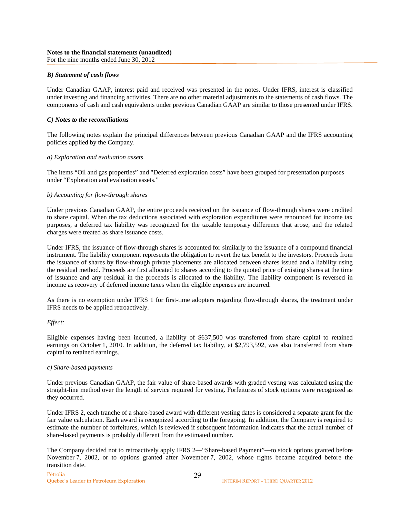### *B) Statement of cash flows*

Under Canadian GAAP, interest paid and received was presented in the notes. Under IFRS, interest is classified under investing and financing activities. There are no other material adjustments to the statements of cash flows. The components of cash and cash equivalents under previous Canadian GAAP are similar to those presented under IFRS.

#### *C) Notes to the reconciliations*

The following notes explain the principal differences between previous Canadian GAAP and the IFRS accounting policies applied by the Company.

### *a) Exploration and evaluation assets*

The items "Oil and gas properties" and "Deferred exploration costs" have been grouped for presentation purposes under "Exploration and evaluation assets."

### *b) Accounting for flow-through shares*

Under previous Canadian GAAP, the entire proceeds received on the issuance of flow-through shares were credited to share capital. When the tax deductions associated with exploration expenditures were renounced for income tax purposes, a deferred tax liability was recognized for the taxable temporary difference that arose, and the related charges were treated as share issuance costs.

Under IFRS, the issuance of flow-through shares is accounted for similarly to the issuance of a compound financial instrument. The liability component represents the obligation to revert the tax benefit to the investors. Proceeds from the issuance of shares by flow-through private placements are allocated between shares issued and a liability using the residual method. Proceeds are first allocated to shares according to the quoted price of existing shares at the time of issuance and any residual in the proceeds is allocated to the liability. The liability component is reversed in income as recovery of deferred income taxes when the eligible expenses are incurred.

As there is no exemption under IFRS 1 for first-time adopters regarding flow-through shares, the treatment under IFRS needs to be applied retroactively.

#### *Effect:*

Eligible expenses having been incurred, a liability of \$637,500 was transferred from share capital to retained earnings on October 1, 2010. In addition, the deferred tax liability, at \$2,793,592, was also transferred from share capital to retained earnings.

#### *c) Share-based payments*

Under previous Canadian GAAP, the fair value of share-based awards with graded vesting was calculated using the straight-line method over the length of service required for vesting. Forfeitures of stock options were recognized as they occurred.

Under IFRS 2, each tranche of a share-based award with different vesting dates is considered a separate grant for the fair value calculation. Each award is recognized according to the foregoing. In addition, the Company is required to estimate the number of forfeitures, which is reviewed if subsequent information indicates that the actual number of share-based payments is probably different from the estimated number.

The Company decided not to retroactively apply IFRS 2—"Share-based Payment"—to stock options granted before November 7, 2002, or to options granted after November 7, 2002, whose rights became acquired before the transition date.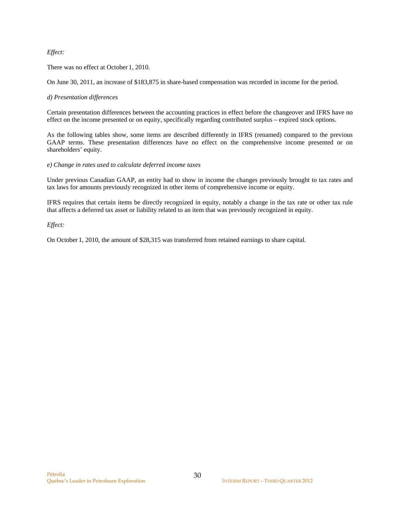### *Effect:*

There was no effect at October 1, 2010.

On June 30, 2011, an increase of \$183,875 in share-based compensation was recorded in income for the period.

### *d) Presentation differences*

Certain presentation differences between the accounting practices in effect before the changeover and IFRS have no effect on the income presented or on equity, specifically regarding contributed surplus – expired stock options.

As the following tables show, some items are described differently in IFRS (renamed) compared to the previous GAAP terms. These presentation differences have no effect on the comprehensive income presented or on shareholders' equity.

### *e) Change in rates used to calculate deferred income taxes*

Under previous Canadian GAAP, an entity had to show in income the changes previously brought to tax rates and tax laws for amounts previously recognized in other items of comprehensive income or equity.

IFRS requires that certain items be directly recognized in equity, notably a change in the tax rate or other tax rule that affects a deferred tax asset or liability related to an item that was previously recognized in equity.

*Effect:* 

On October 1, 2010, the amount of \$28,315 was transferred from retained earnings to share capital.